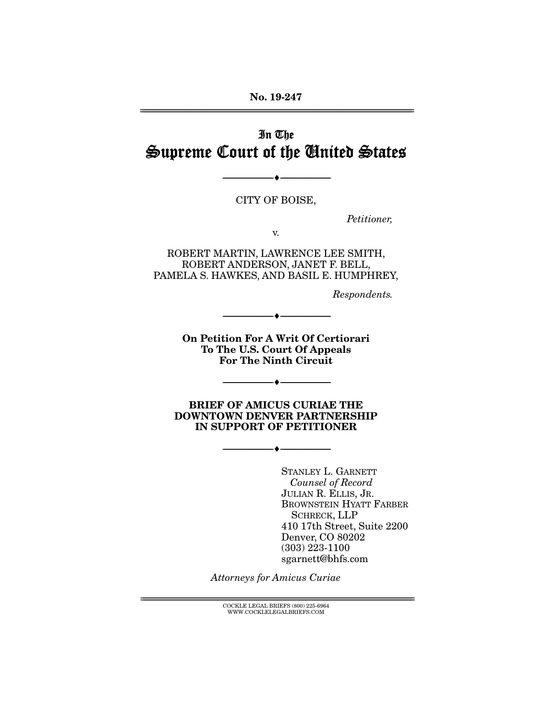No. 19-247 ================================================================================================================

# In The Supreme Court of the United States

CITY OF BOISE,

--------------------------------- ---------------------------------

*Petitioner,* 

v.

ROBERT MARTIN, LAWRENCE LEE SMITH, ROBERT ANDERSON, JANET F. BELL, PAMELA S. HAWKES, AND BASIL E. HUMPHREY,

*Respondents.* 

On Petition For A Writ Of Certiorari To The U.S. Court Of Appeals For The Ninth Circuit

--------------------------------- ---------------------------------

--------------------------------- ---------------------------------

BRIEF OF AMICUS CURIAE THE DOWNTOWN DENVER PARTNERSHIP IN SUPPORT OF PETITIONER

--------------------------------- ---------------------------------

STANLEY L. GARNETT *Counsel of Record* JULIAN R. ELLIS, JR. BROWNSTEIN HYATT FARBER SCHRECK, LLP 410 17th Street, Suite 2200 Denver, CO 80202 (303) 223-1100 sgarnett@bhfs.com

*Attorneys for Amicus Curiae* 

 ${COCKLE}$  LEGAL BRIEFS (800) 225-6964 WWW.COCKLELEGALBRIEFS.COM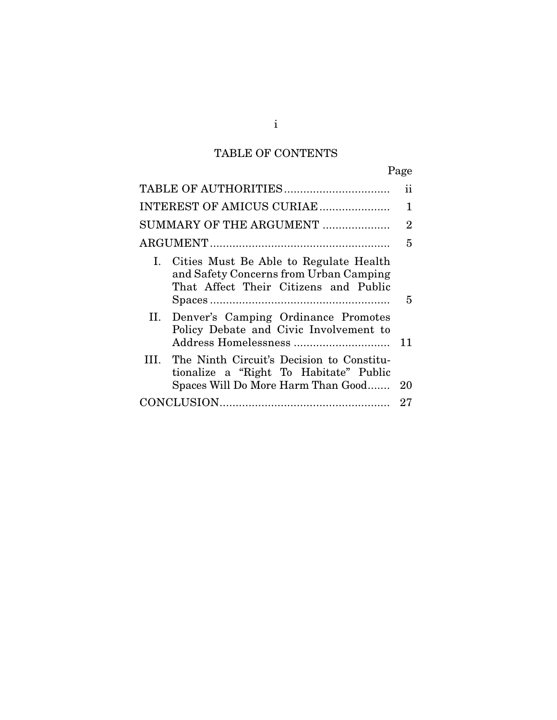# TABLE OF CONTENTS

|                                                                                                                                 | Ħ              |
|---------------------------------------------------------------------------------------------------------------------------------|----------------|
| INTEREST OF AMICUS CURIAE                                                                                                       | 1              |
| SUMMARY OF THE ARGUMENT                                                                                                         | $\overline{2}$ |
|                                                                                                                                 | 5              |
| Cities Must Be Able to Regulate Health<br>L.<br>and Safety Concerns from Urban Camping<br>That Affect Their Citizens and Public | 5              |
| II. Denver's Camping Ordinance Promotes<br>Policy Debate and Civic Involvement to                                               | 11             |
| III. The Ninth Circuit's Decision to Constitu-<br>tionalize a "Right To Habitate" Public<br>Spaces Will Do More Harm Than Good  | 20             |
|                                                                                                                                 | 27             |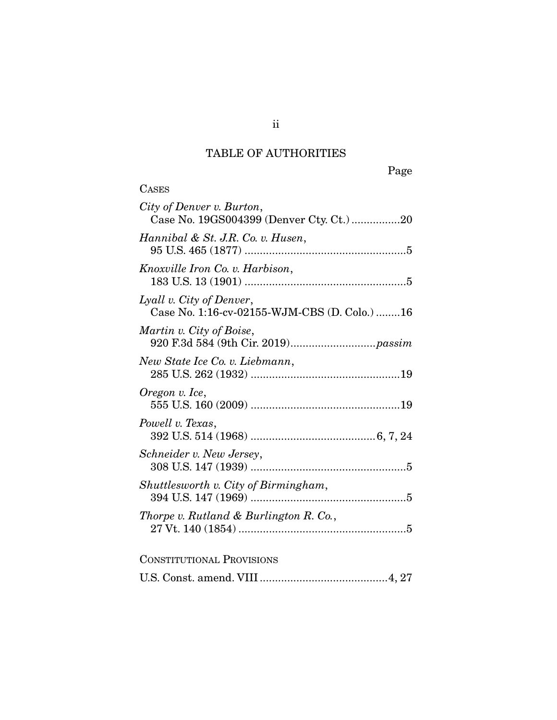# TABLE OF AUTHORITIES

**CASES** 

Page

| City of Denver v. Burton,<br>Case No. 19GS004399 (Denver Cty. Ct.) 20    |
|--------------------------------------------------------------------------|
| Hannibal & St. J.R. Co. v. Husen,                                        |
| Knoxville Iron Co. v. Harbison,                                          |
| Lyall v. City of Denver,<br>Case No. 1:16-cv-02155-WJM-CBS (D. Colo.) 16 |
| Martin v. City of Boise,                                                 |
| New State Ice Co. v. Liebmann,                                           |
| Oregon v. Ice,                                                           |
| Powell v. Texas,                                                         |
| Schneider v. New Jersey,                                                 |
| Shuttlesworth v. City of Birmingham,                                     |
| Thorpe v. Rutland & Burlington R. Co.,                                   |
| <b>CONSTITUTIONAL PROVISIONS</b>                                         |
|                                                                          |

ii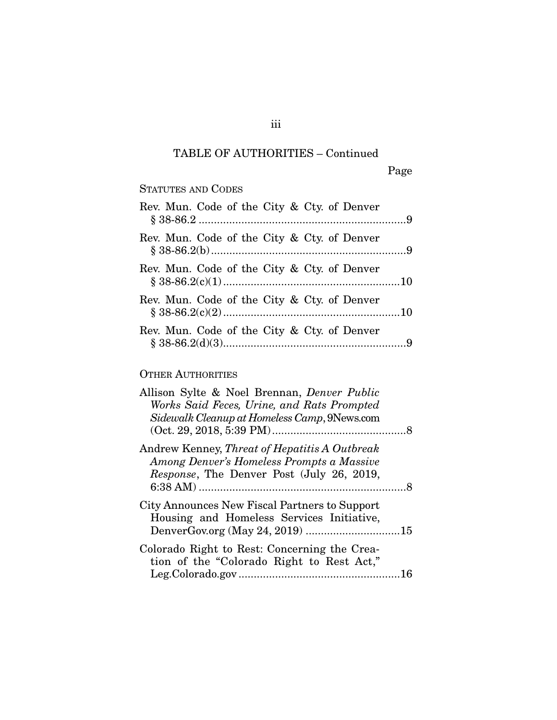## TABLE OF AUTHORITIES – Continued

## STATUTES AND CODES

| Rev. Mun. Code of the City & Cty. of Denver |  |
|---------------------------------------------|--|
| Rev. Mun. Code of the City & Cty. of Denver |  |
| Rev. Mun. Code of the City & Cty. of Denver |  |
| Rev. Mun. Code of the City & Cty. of Denver |  |
| Rev. Mun. Code of the City & Cty. of Denver |  |

## OTHER AUTHORITIES

| Allison Sylte & Noel Brennan, <i>Denver Public</i><br>Works Said Feces, Urine, and Rats Prompted<br>Sidewalk Cleanup at Homeless Camp, 9News.com |  |
|--------------------------------------------------------------------------------------------------------------------------------------------------|--|
| Andrew Kenney, <i>Threat of Hepatitis A Outbreak</i>                                                                                             |  |
| Among Denver's Homeless Prompts a Massive<br>Response, The Denver Post (July 26, 2019,                                                           |  |
| City Announces New Fiscal Partners to Support<br>Housing and Homeless Services Initiative,                                                       |  |
| Colorado Right to Rest: Concerning the Crea-<br>tion of the "Colorado Right to Rest Act,"                                                        |  |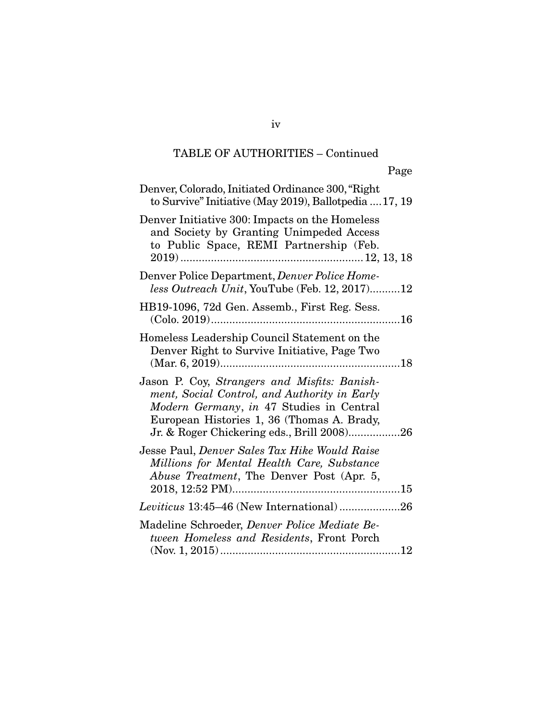## TABLE OF AUTHORITIES – Continued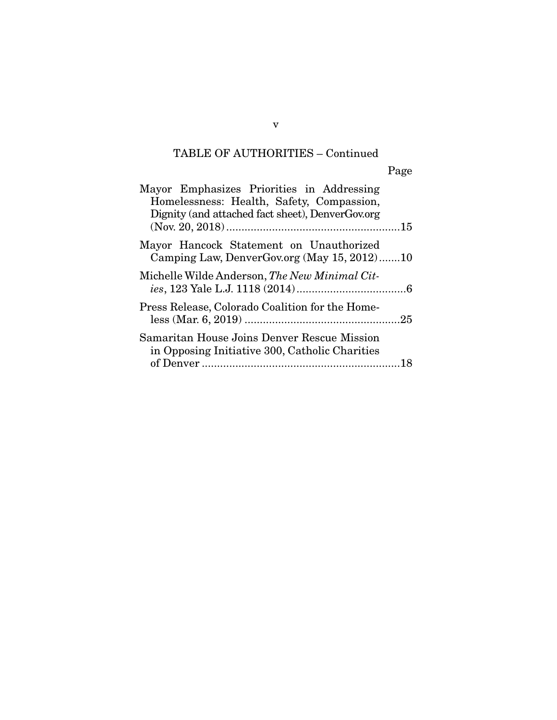# TABLE OF AUTHORITIES – Continued

| Mayor Emphasizes Priorities in Addressing<br>Homelessness: Health, Safety, Compassion,<br>Dignity (and attached fact sheet), DenverGov.org |  |
|--------------------------------------------------------------------------------------------------------------------------------------------|--|
| Mayor Hancock Statement on Unauthorized<br>Camping Law, DenverGov.org (May 15, 2012)10                                                     |  |
| Michelle Wilde Anderson, The New Minimal Cit-                                                                                              |  |
| Press Release, Colorado Coalition for the Home-                                                                                            |  |
| Samaritan House Joins Denver Rescue Mission<br>in Opposing Initiative 300, Catholic Charities                                              |  |

v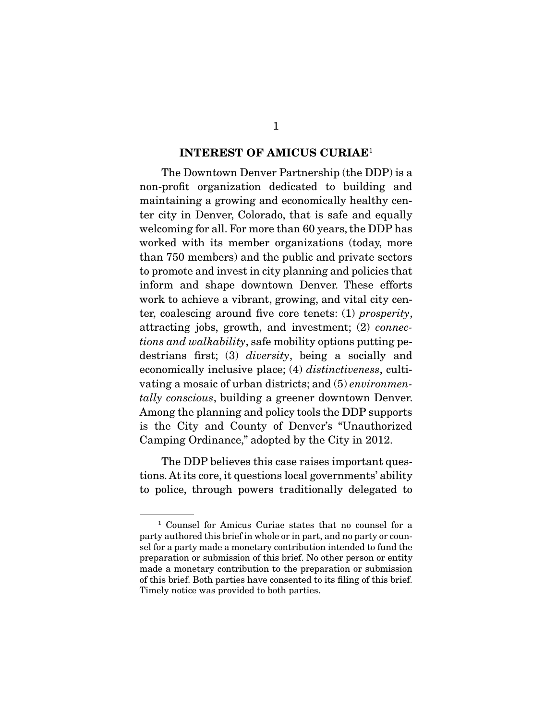#### INTEREST OF AMICUS CURIAE<sup>1</sup>

 The Downtown Denver Partnership (the DDP) is a non-profit organization dedicated to building and maintaining a growing and economically healthy center city in Denver, Colorado, that is safe and equally welcoming for all. For more than 60 years, the DDP has worked with its member organizations (today, more than 750 members) and the public and private sectors to promote and invest in city planning and policies that inform and shape downtown Denver. These efforts work to achieve a vibrant, growing, and vital city center, coalescing around five core tenets: (1) *prosperity*, attracting jobs, growth, and investment; (2) *connections and walkability*, safe mobility options putting pedestrians first; (3) *diversity*, being a socially and economically inclusive place; (4) *distinctiveness*, cultivating a mosaic of urban districts; and (5) *environmentally conscious*, building a greener downtown Denver. Among the planning and policy tools the DDP supports is the City and County of Denver's "Unauthorized Camping Ordinance," adopted by the City in 2012.

 The DDP believes this case raises important questions. At its core, it questions local governments' ability to police, through powers traditionally delegated to

<sup>1</sup> Counsel for Amicus Curiae states that no counsel for a party authored this brief in whole or in part, and no party or counsel for a party made a monetary contribution intended to fund the preparation or submission of this brief. No other person or entity made a monetary contribution to the preparation or submission of this brief. Both parties have consented to its filing of this brief. Timely notice was provided to both parties.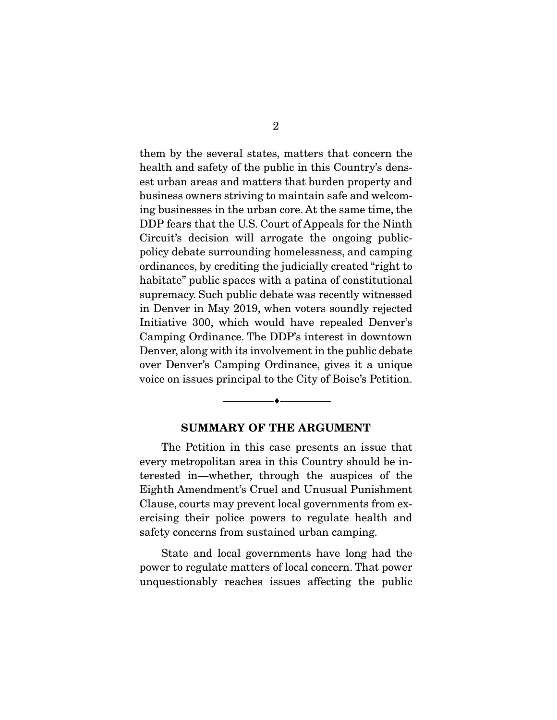them by the several states, matters that concern the health and safety of the public in this Country's densest urban areas and matters that burden property and business owners striving to maintain safe and welcoming businesses in the urban core. At the same time, the DDP fears that the U.S. Court of Appeals for the Ninth Circuit's decision will arrogate the ongoing publicpolicy debate surrounding homelessness, and camping ordinances, by crediting the judicially created "right to habitate" public spaces with a patina of constitutional supremacy. Such public debate was recently witnessed in Denver in May 2019, when voters soundly rejected Initiative 300, which would have repealed Denver's Camping Ordinance. The DDP's interest in downtown Denver, along with its involvement in the public debate over Denver's Camping Ordinance, gives it a unique voice on issues principal to the City of Boise's Petition.

#### SUMMARY OF THE ARGUMENT

--------------------------------- ---------------------------------

 The Petition in this case presents an issue that every metropolitan area in this Country should be interested in—whether, through the auspices of the Eighth Amendment's Cruel and Unusual Punishment Clause, courts may prevent local governments from exercising their police powers to regulate health and safety concerns from sustained urban camping.

 State and local governments have long had the power to regulate matters of local concern. That power unquestionably reaches issues affecting the public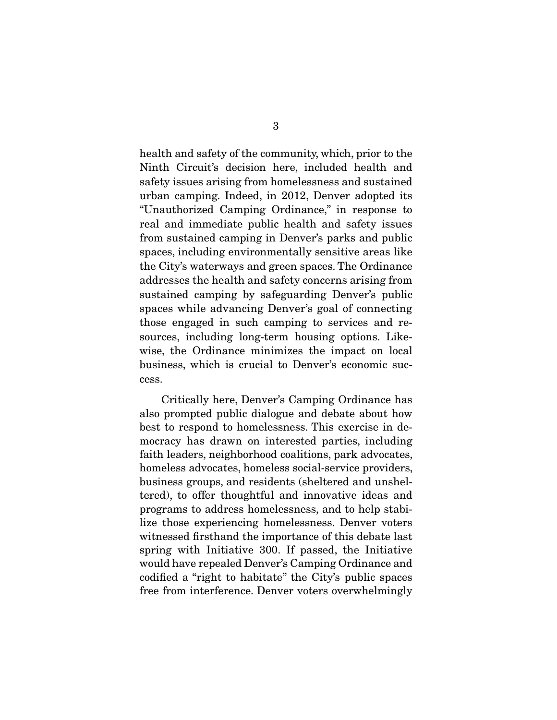health and safety of the community, which, prior to the Ninth Circuit's decision here, included health and safety issues arising from homelessness and sustained urban camping. Indeed, in 2012, Denver adopted its "Unauthorized Camping Ordinance," in response to real and immediate public health and safety issues from sustained camping in Denver's parks and public spaces, including environmentally sensitive areas like the City's waterways and green spaces. The Ordinance addresses the health and safety concerns arising from sustained camping by safeguarding Denver's public spaces while advancing Denver's goal of connecting those engaged in such camping to services and resources, including long-term housing options. Likewise, the Ordinance minimizes the impact on local business, which is crucial to Denver's economic success.

 Critically here, Denver's Camping Ordinance has also prompted public dialogue and debate about how best to respond to homelessness. This exercise in democracy has drawn on interested parties, including faith leaders, neighborhood coalitions, park advocates, homeless advocates, homeless social-service providers, business groups, and residents (sheltered and unsheltered), to offer thoughtful and innovative ideas and programs to address homelessness, and to help stabilize those experiencing homelessness. Denver voters witnessed firsthand the importance of this debate last spring with Initiative 300. If passed, the Initiative would have repealed Denver's Camping Ordinance and codified a "right to habitate" the City's public spaces free from interference. Denver voters overwhelmingly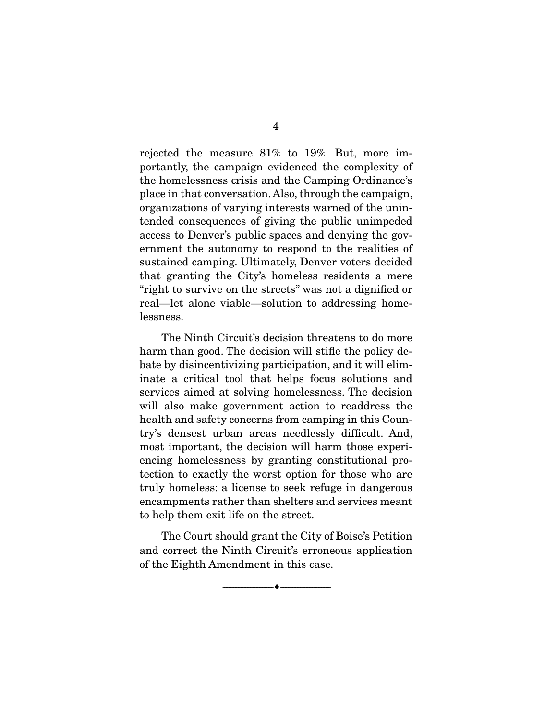rejected the measure 81% to 19%. But, more importantly, the campaign evidenced the complexity of the homelessness crisis and the Camping Ordinance's place in that conversation. Also, through the campaign, organizations of varying interests warned of the unintended consequences of giving the public unimpeded access to Denver's public spaces and denying the government the autonomy to respond to the realities of sustained camping. Ultimately, Denver voters decided that granting the City's homeless residents a mere "right to survive on the streets" was not a dignified or real—let alone viable—solution to addressing homelessness.

 The Ninth Circuit's decision threatens to do more harm than good. The decision will stifle the policy debate by disincentivizing participation, and it will eliminate a critical tool that helps focus solutions and services aimed at solving homelessness. The decision will also make government action to readdress the health and safety concerns from camping in this Country's densest urban areas needlessly difficult. And, most important, the decision will harm those experiencing homelessness by granting constitutional protection to exactly the worst option for those who are truly homeless: a license to seek refuge in dangerous encampments rather than shelters and services meant to help them exit life on the street.

 The Court should grant the City of Boise's Petition and correct the Ninth Circuit's erroneous application of the Eighth Amendment in this case.

--------------------------------- ---------------------------------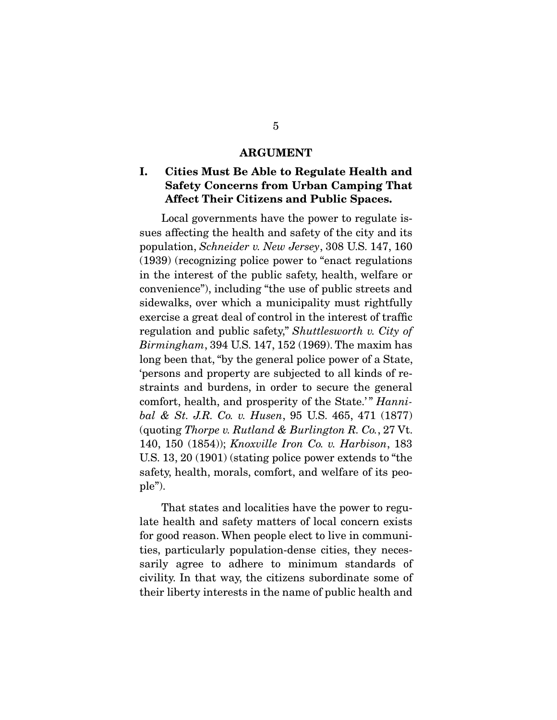#### ARGUMENT

### I. Cities Must Be Able to Regulate Health and Safety Concerns from Urban Camping That Affect Their Citizens and Public Spaces.

 Local governments have the power to regulate issues affecting the health and safety of the city and its population, *Schneider v. New Jersey*, 308 U.S. 147, 160 (1939) (recognizing police power to "enact regulations in the interest of the public safety, health, welfare or convenience"), including "the use of public streets and sidewalks, over which a municipality must rightfully exercise a great deal of control in the interest of traffic regulation and public safety," *Shuttlesworth v. City of Birmingham*, 394 U.S. 147, 152 (1969). The maxim has long been that, "by the general police power of a State, 'persons and property are subjected to all kinds of restraints and burdens, in order to secure the general comfort, health, and prosperity of the State.'" *Hannibal & St. J.R. Co. v. Husen*, 95 U.S. 465, 471 (1877) (quoting *Thorpe v. Rutland & Burlington R. Co.*, 27 Vt. 140, 150 (1854)); *Knoxville Iron Co. v. Harbison*, 183 U.S. 13, 20 (1901) (stating police power extends to "the safety, health, morals, comfort, and welfare of its people").

 That states and localities have the power to regulate health and safety matters of local concern exists for good reason. When people elect to live in communities, particularly population-dense cities, they necessarily agree to adhere to minimum standards of civility. In that way, the citizens subordinate some of their liberty interests in the name of public health and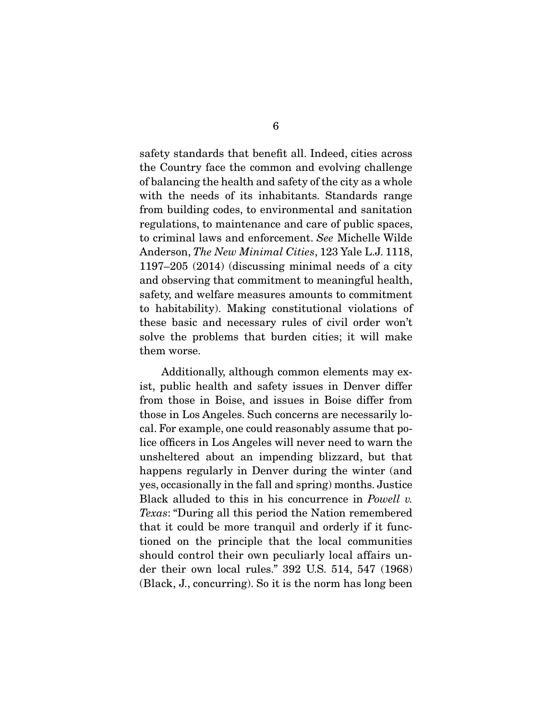safety standards that benefit all. Indeed, cities across the Country face the common and evolving challenge of balancing the health and safety of the city as a whole with the needs of its inhabitants. Standards range from building codes, to environmental and sanitation regulations, to maintenance and care of public spaces, to criminal laws and enforcement. *See* Michelle Wilde Anderson, *The New Minimal Cities*, 123 Yale L.J. 1118, 1197–205 (2014) (discussing minimal needs of a city and observing that commitment to meaningful health, safety, and welfare measures amounts to commitment to habitability). Making constitutional violations of these basic and necessary rules of civil order won't solve the problems that burden cities; it will make them worse.

 Additionally, although common elements may exist, public health and safety issues in Denver differ from those in Boise, and issues in Boise differ from those in Los Angeles. Such concerns are necessarily local. For example, one could reasonably assume that police officers in Los Angeles will never need to warn the unsheltered about an impending blizzard, but that happens regularly in Denver during the winter (and yes, occasionally in the fall and spring) months. Justice Black alluded to this in his concurrence in *Powell v. Texas*: "During all this period the Nation remembered that it could be more tranquil and orderly if it functioned on the principle that the local communities should control their own peculiarly local affairs under their own local rules." 392 U.S. 514, 547 (1968) (Black, J., concurring). So it is the norm has long been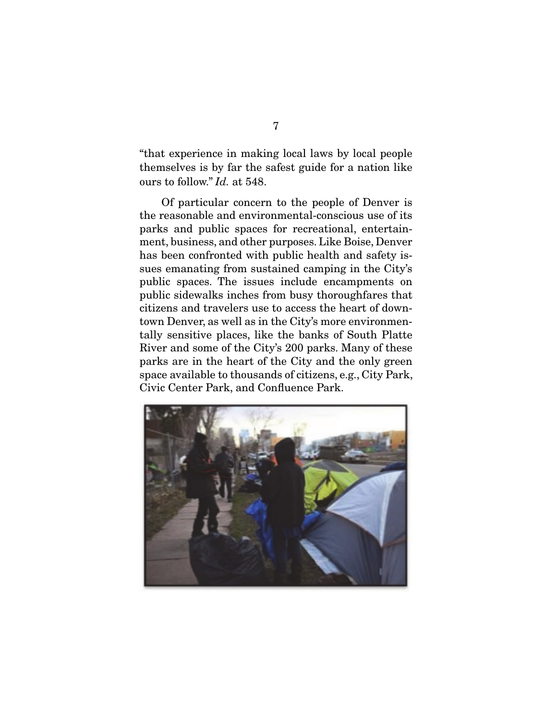"that experience in making local laws by local people themselves is by far the safest guide for a nation like ours to follow." *Id.* at 548.

 Of particular concern to the people of Denver is the reasonable and environmental-conscious use of its parks and public spaces for recreational, entertainment, business, and other purposes. Like Boise, Denver has been confronted with public health and safety issues emanating from sustained camping in the City's public spaces. The issues include encampments on public sidewalks inches from busy thoroughfares that citizens and travelers use to access the heart of downtown Denver, as well as in the City's more environmentally sensitive places, like the banks of South Platte River and some of the City's 200 parks. Many of these parks are in the heart of the City and the only green space available to thousands of citizens, e.g., City Park, Civic Center Park, and Confluence Park.

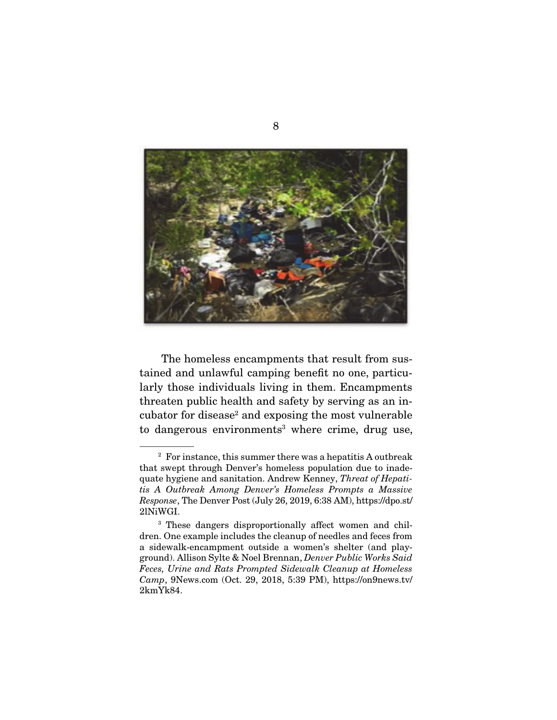

 The homeless encampments that result from sustained and unlawful camping benefit no one, particularly those individuals living in them. Encampments threaten public health and safety by serving as an incubator for disease<sup>2</sup> and exposing the most vulnerable to dangerous environments<sup>3</sup> where crime, drug use,

<sup>2</sup> For instance, this summer there was a hepatitis A outbreak that swept through Denver's homeless population due to inadequate hygiene and sanitation. Andrew Kenney, *Threat of Hepatitis A Outbreak Among Denver's Homeless Prompts a Massive Response*, The Denver Post (July 26, 2019, 6:38 AM), https://dpo.st/ 2lNiWGI.

<sup>&</sup>lt;sup>3</sup> These dangers disproportionally affect women and children. One example includes the cleanup of needles and feces from a sidewalk-encampment outside a women's shelter (and playground). Allison Sylte & Noel Brennan, *Denver Public Works Said Feces, Urine and Rats Prompted Sidewalk Cleanup at Homeless Camp*, 9News.com (Oct. 29, 2018, 5:39 PM), https://on9news.tv/ 2kmYk84.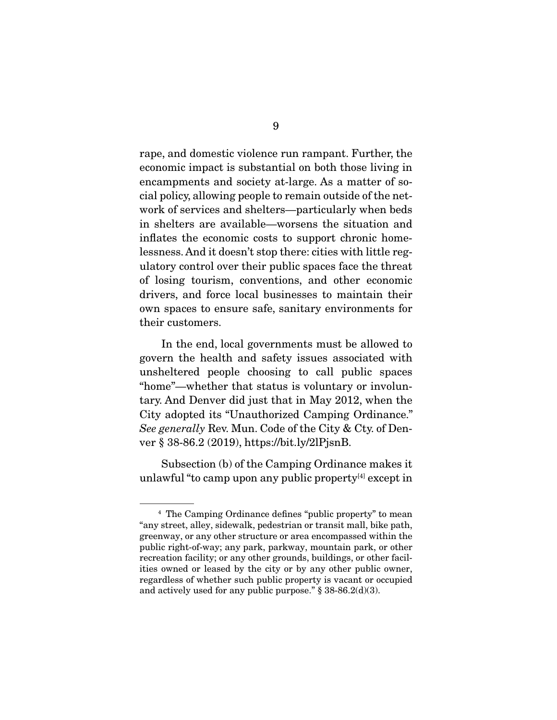rape, and domestic violence run rampant. Further, the economic impact is substantial on both those living in encampments and society at-large. As a matter of social policy, allowing people to remain outside of the network of services and shelters—particularly when beds in shelters are available—worsens the situation and inflates the economic costs to support chronic homelessness. And it doesn't stop there: cities with little regulatory control over their public spaces face the threat of losing tourism, conventions, and other economic drivers, and force local businesses to maintain their own spaces to ensure safe, sanitary environments for their customers.

 In the end, local governments must be allowed to govern the health and safety issues associated with unsheltered people choosing to call public spaces "home"—whether that status is voluntary or involuntary. And Denver did just that in May 2012, when the City adopted its "Unauthorized Camping Ordinance." *See generally* Rev. Mun. Code of the City & Cty. of Denver § 38-86.2 (2019), https://bit.ly/2lPjsnB.

 Subsection (b) of the Camping Ordinance makes it unlawful "to camp upon any public property $[4]$  except in

<sup>4</sup> The Camping Ordinance defines "public property" to mean "any street, alley, sidewalk, pedestrian or transit mall, bike path, greenway, or any other structure or area encompassed within the public right-of-way; any park, parkway, mountain park, or other recreation facility; or any other grounds, buildings, or other facilities owned or leased by the city or by any other public owner, regardless of whether such public property is vacant or occupied and actively used for any public purpose."  $\S$  38-86.2(d)(3).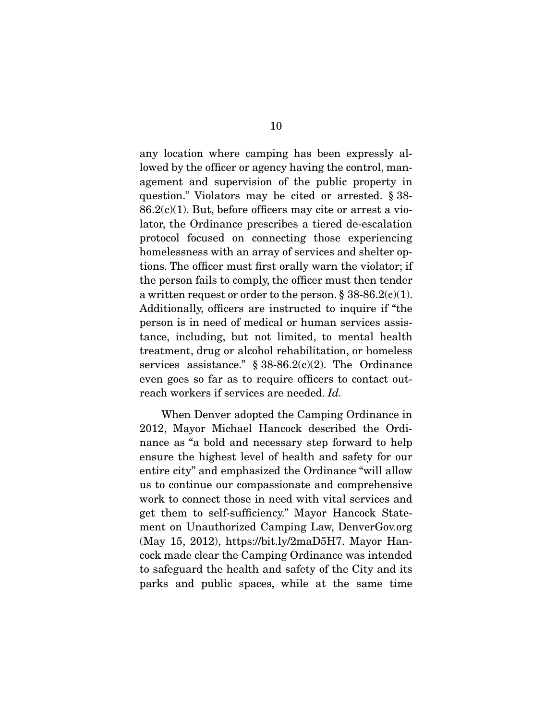any location where camping has been expressly allowed by the officer or agency having the control, management and supervision of the public property in question." Violators may be cited or arrested. § 38-  $86.2(c)(1)$ . But, before officers may cite or arrest a violator, the Ordinance prescribes a tiered de-escalation protocol focused on connecting those experiencing homelessness with an array of services and shelter options. The officer must first orally warn the violator; if the person fails to comply, the officer must then tender a written request or order to the person.  $\S 38-86.2(c)(1)$ . Additionally, officers are instructed to inquire if "the person is in need of medical or human services assistance, including, but not limited, to mental health treatment, drug or alcohol rehabilitation, or homeless services assistance."  $§ 38-86.2(c)(2)$ . The Ordinance even goes so far as to require officers to contact outreach workers if services are needed. *Id.*

 When Denver adopted the Camping Ordinance in 2012, Mayor Michael Hancock described the Ordinance as "a bold and necessary step forward to help ensure the highest level of health and safety for our entire city" and emphasized the Ordinance "will allow us to continue our compassionate and comprehensive work to connect those in need with vital services and get them to self-sufficiency." Mayor Hancock Statement on Unauthorized Camping Law, DenverGov.org (May 15, 2012), https://bit.ly/2maD5H7. Mayor Hancock made clear the Camping Ordinance was intended to safeguard the health and safety of the City and its parks and public spaces, while at the same time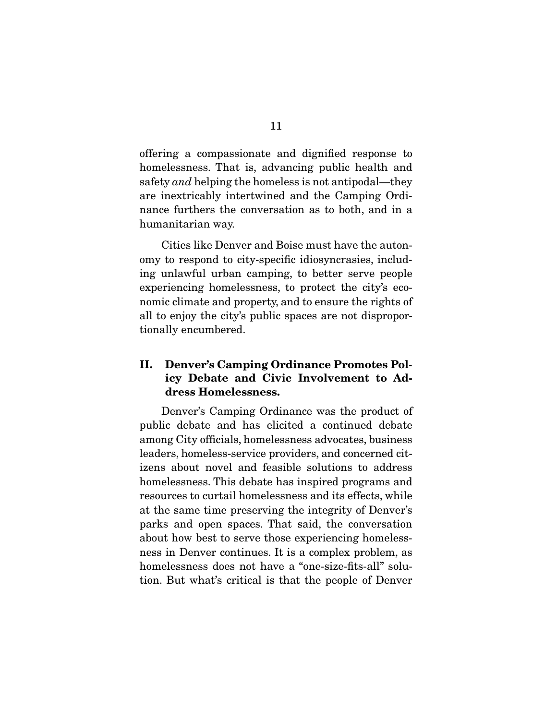offering a compassionate and dignified response to homelessness. That is, advancing public health and safety *and* helping the homeless is not antipodal—they are inextricably intertwined and the Camping Ordinance furthers the conversation as to both, and in a humanitarian way.

 Cities like Denver and Boise must have the autonomy to respond to city-specific idiosyncrasies, including unlawful urban camping, to better serve people experiencing homelessness, to protect the city's economic climate and property, and to ensure the rights of all to enjoy the city's public spaces are not disproportionally encumbered.

## II. Denver's Camping Ordinance Promotes Policy Debate and Civic Involvement to Address Homelessness.

 Denver's Camping Ordinance was the product of public debate and has elicited a continued debate among City officials, homelessness advocates, business leaders, homeless-service providers, and concerned citizens about novel and feasible solutions to address homelessness. This debate has inspired programs and resources to curtail homelessness and its effects, while at the same time preserving the integrity of Denver's parks and open spaces. That said, the conversation about how best to serve those experiencing homelessness in Denver continues. It is a complex problem, as homelessness does not have a "one-size-fits-all" solution. But what's critical is that the people of Denver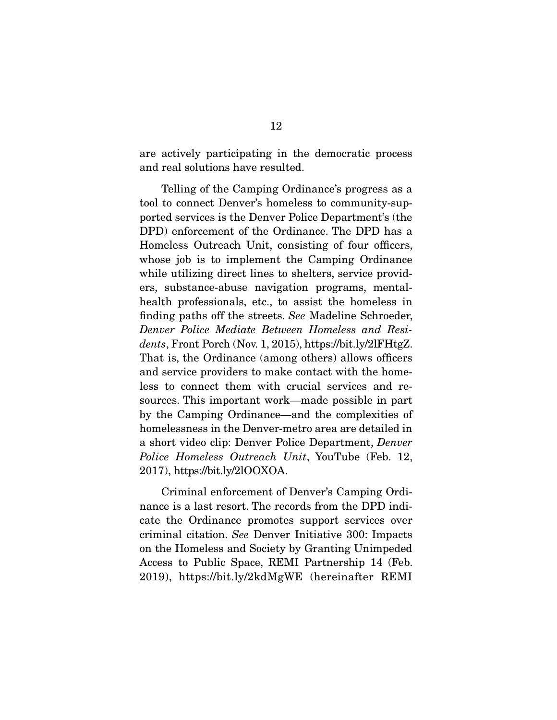are actively participating in the democratic process and real solutions have resulted.

 Telling of the Camping Ordinance's progress as a tool to connect Denver's homeless to community-supported services is the Denver Police Department's (the DPD) enforcement of the Ordinance. The DPD has a Homeless Outreach Unit, consisting of four officers, whose job is to implement the Camping Ordinance while utilizing direct lines to shelters, service providers, substance-abuse navigation programs, mentalhealth professionals, etc., to assist the homeless in finding paths off the streets. *See* Madeline Schroeder, *Denver Police Mediate Between Homeless and Residents*, Front Porch (Nov. 1, 2015), https://bit.ly/2lFHtgZ. That is, the Ordinance (among others) allows officers and service providers to make contact with the homeless to connect them with crucial services and resources. This important work—made possible in part by the Camping Ordinance—and the complexities of homelessness in the Denver-metro area are detailed in a short video clip: Denver Police Department, *Denver Police Homeless Outreach Unit*, YouTube (Feb. 12, 2017), https://bit.ly/2lOOXOA.

 Criminal enforcement of Denver's Camping Ordinance is a last resort. The records from the DPD indicate the Ordinance promotes support services over criminal citation. *See* Denver Initiative 300: Impacts on the Homeless and Society by Granting Unimpeded Access to Public Space, REMI Partnership 14 (Feb. 2019), https://bit.ly/2kdMgWE (hereinafter REMI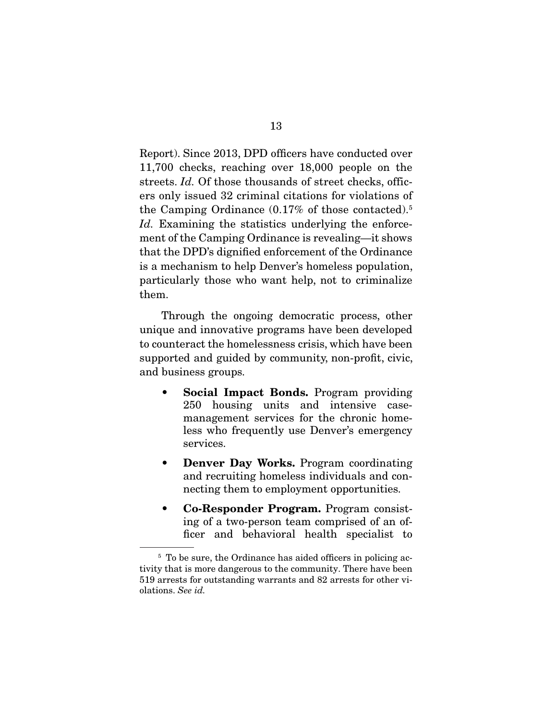Report). Since 2013, DPD officers have conducted over 11,700 checks, reaching over 18,000 people on the streets. *Id.* Of those thousands of street checks, officers only issued 32 criminal citations for violations of the Camping Ordinance (0.17% of those contacted).5 *Id.* Examining the statistics underlying the enforcement of the Camping Ordinance is revealing—it shows that the DPD's dignified enforcement of the Ordinance is a mechanism to help Denver's homeless population, particularly those who want help, not to criminalize them.

 Through the ongoing democratic process, other unique and innovative programs have been developed to counteract the homelessness crisis, which have been supported and guided by community, non-profit, civic, and business groups.

- **Social Impact Bonds.** Program providing 250 housing units and intensive casemanagement services for the chronic homeless who frequently use Denver's emergency services.
- Denver Day Works. Program coordinating and recruiting homeless individuals and connecting them to employment opportunities.
- Co-Responder Program. Program consisting of a two-person team comprised of an officer and behavioral health specialist to

<sup>&</sup>lt;sup>5</sup> To be sure, the Ordinance has aided officers in policing activity that is more dangerous to the community. There have been 519 arrests for outstanding warrants and 82 arrests for other violations. *See id.*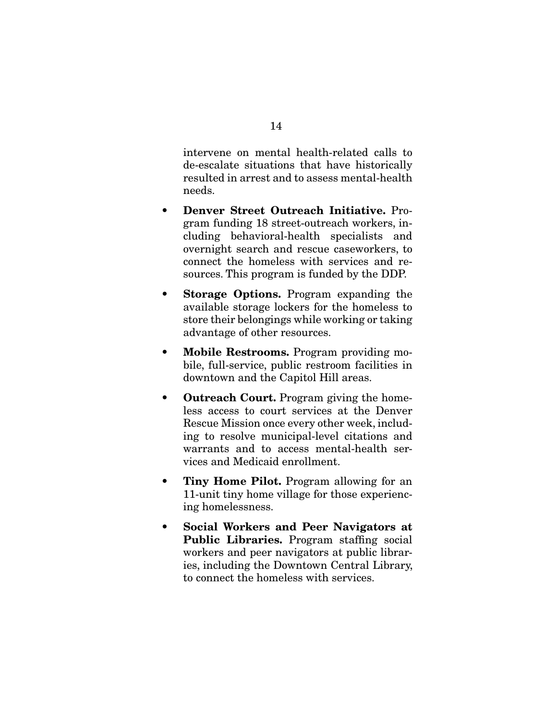intervene on mental health-related calls to de-escalate situations that have historically resulted in arrest and to assess mental-health needs.

- Denver Street Outreach Initiative. Program funding 18 street-outreach workers, including behavioral-health specialists and overnight search and rescue caseworkers, to connect the homeless with services and resources. This program is funded by the DDP.
- Storage Options. Program expanding the available storage lockers for the homeless to store their belongings while working or taking advantage of other resources.
- Mobile Restrooms. Program providing mobile, full-service, public restroom facilities in downtown and the Capitol Hill areas.
- **Outreach Court.** Program giving the homeless access to court services at the Denver Rescue Mission once every other week, including to resolve municipal-level citations and warrants and to access mental-health services and Medicaid enrollment.
- Tiny Home Pilot. Program allowing for an 11-unit tiny home village for those experiencing homelessness.
- Social Workers and Peer Navigators at Public Libraries. Program staffing social workers and peer navigators at public libraries, including the Downtown Central Library, to connect the homeless with services.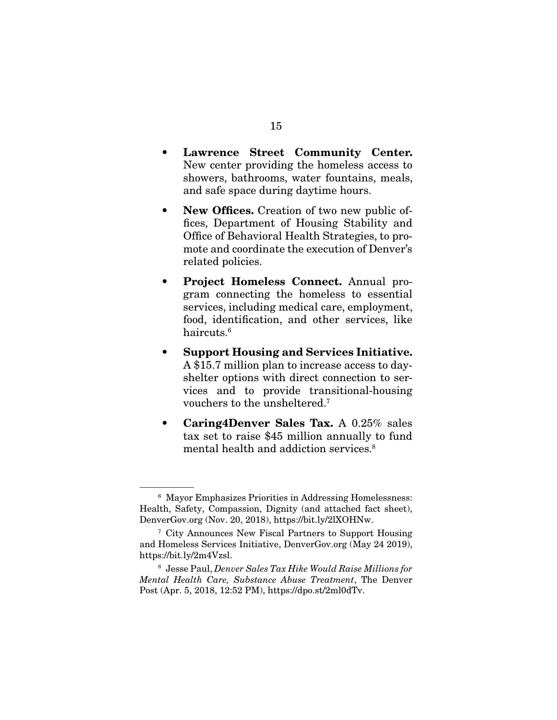- Lawrence Street Community Center. New center providing the homeless access to showers, bathrooms, water fountains, meals, and safe space during daytime hours.
- New Offices. Creation of two new public offices, Department of Housing Stability and Office of Behavioral Health Strategies, to promote and coordinate the execution of Denver's related policies.
- Project Homeless Connect. Annual program connecting the homeless to essential services, including medical care, employment, food, identification, and other services, like haircuts.6
- Support Housing and Services Initiative. A \$15.7 million plan to increase access to dayshelter options with direct connection to services and to provide transitional-housing vouchers to the unsheltered.7
- Caring4Denver Sales Tax. A 0.25% sales tax set to raise \$45 million annually to fund mental health and addiction services.<sup>8</sup>

<sup>6</sup> Mayor Emphasizes Priorities in Addressing Homelessness: Health, Safety, Compassion, Dignity (and attached fact sheet), DenverGov.org (Nov. 20, 2018), https://bit.ly/2lXOHNw.

<sup>7</sup> City Announces New Fiscal Partners to Support Housing and Homeless Services Initiative, DenverGov.org (May 24 2019), https://bit.ly/2m4Vzsl.

<sup>8</sup> Jesse Paul, *Denver Sales Tax Hike Would Raise Millions for Mental Health Care, Substance Abuse Treatment*, The Denver Post (Apr. 5, 2018, 12:52 PM), https://dpo.st/2ml0dTv.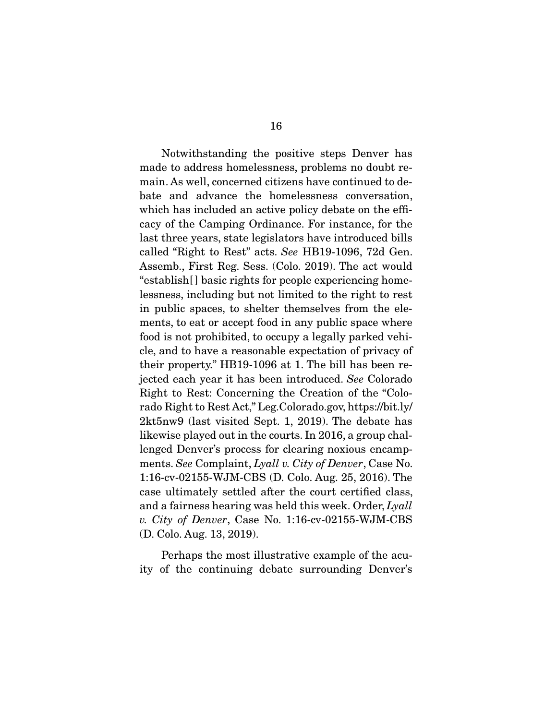Notwithstanding the positive steps Denver has made to address homelessness, problems no doubt remain. As well, concerned citizens have continued to debate and advance the homelessness conversation, which has included an active policy debate on the efficacy of the Camping Ordinance. For instance, for the last three years, state legislators have introduced bills called "Right to Rest" acts. *See* HB19-1096, 72d Gen. Assemb., First Reg. Sess. (Colo. 2019). The act would "establish[] basic rights for people experiencing homelessness, including but not limited to the right to rest in public spaces, to shelter themselves from the elements, to eat or accept food in any public space where food is not prohibited, to occupy a legally parked vehicle, and to have a reasonable expectation of privacy of their property." HB19-1096 at 1. The bill has been rejected each year it has been introduced. *See* Colorado Right to Rest: Concerning the Creation of the "Colorado Right to Rest Act," Leg.Colorado.gov, https://bit.ly/ 2kt5nw9 (last visited Sept. 1, 2019). The debate has likewise played out in the courts. In 2016, a group challenged Denver's process for clearing noxious encampments. *See* Complaint, *Lyall v. City of Denver*, Case No. 1:16-cv-02155-WJM-CBS (D. Colo. Aug. 25, 2016). The case ultimately settled after the court certified class, and a fairness hearing was held this week. Order, *Lyall v. City of Denver*, Case No. 1:16-cv-02155-WJM-CBS (D. Colo. Aug. 13, 2019).

 Perhaps the most illustrative example of the acuity of the continuing debate surrounding Denver's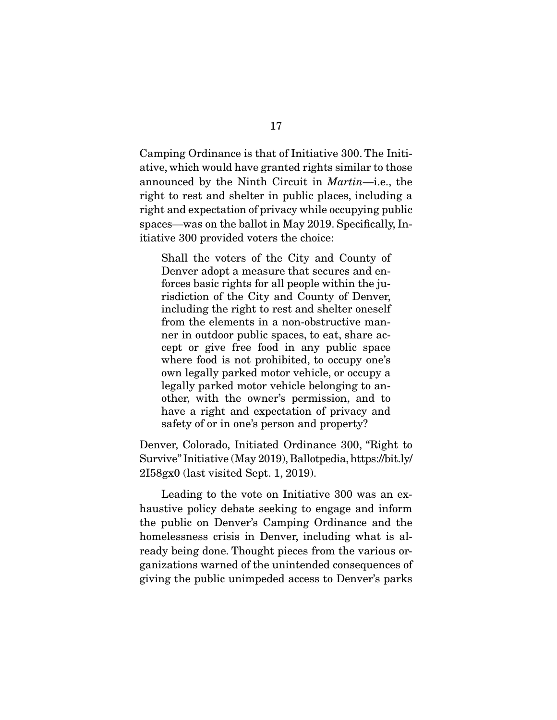Camping Ordinance is that of Initiative 300. The Initiative, which would have granted rights similar to those announced by the Ninth Circuit in *Martin*—i.e., the right to rest and shelter in public places, including a right and expectation of privacy while occupying public spaces—was on the ballot in May 2019. Specifically, Initiative 300 provided voters the choice:

Shall the voters of the City and County of Denver adopt a measure that secures and enforces basic rights for all people within the jurisdiction of the City and County of Denver, including the right to rest and shelter oneself from the elements in a non-obstructive manner in outdoor public spaces, to eat, share accept or give free food in any public space where food is not prohibited, to occupy one's own legally parked motor vehicle, or occupy a legally parked motor vehicle belonging to another, with the owner's permission, and to have a right and expectation of privacy and safety of or in one's person and property?

Denver, Colorado, Initiated Ordinance 300, "Right to Survive" Initiative (May 2019), Ballotpedia, https://bit.ly/ 2I58gx0 (last visited Sept. 1, 2019).

 Leading to the vote on Initiative 300 was an exhaustive policy debate seeking to engage and inform the public on Denver's Camping Ordinance and the homelessness crisis in Denver, including what is already being done. Thought pieces from the various organizations warned of the unintended consequences of giving the public unimpeded access to Denver's parks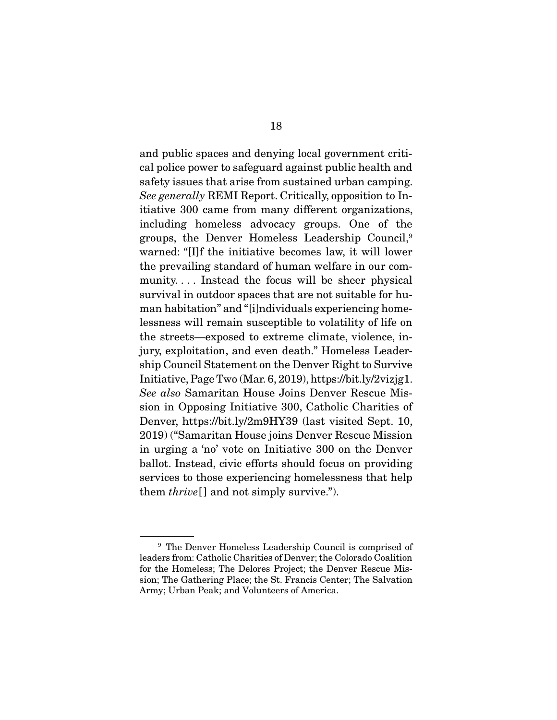and public spaces and denying local government critical police power to safeguard against public health and safety issues that arise from sustained urban camping. *See generally* REMI Report. Critically, opposition to Initiative 300 came from many different organizations, including homeless advocacy groups. One of the groups, the Denver Homeless Leadership Council,9 warned: "[I]f the initiative becomes law, it will lower the prevailing standard of human welfare in our community.... Instead the focus will be sheer physical survival in outdoor spaces that are not suitable for human habitation" and "[i]ndividuals experiencing homelessness will remain susceptible to volatility of life on the streets—exposed to extreme climate, violence, injury, exploitation, and even death." Homeless Leadership Council Statement on the Denver Right to Survive Initiative, Page Two (Mar. 6, 2019), https://bit.ly/2vizjg1. *See also* Samaritan House Joins Denver Rescue Mission in Opposing Initiative 300, Catholic Charities of Denver, https://bit.ly/2m9HY39 (last visited Sept. 10, 2019) ("Samaritan House joins Denver Rescue Mission in urging a 'no' vote on Initiative 300 on the Denver ballot. Instead, civic efforts should focus on providing services to those experiencing homelessness that help them *thrive*[ ] and not simply survive.").

<sup>9</sup> The Denver Homeless Leadership Council is comprised of leaders from: Catholic Charities of Denver; the Colorado Coalition for the Homeless; The Delores Project; the Denver Rescue Mission; The Gathering Place; the St. Francis Center; The Salvation Army; Urban Peak; and Volunteers of America.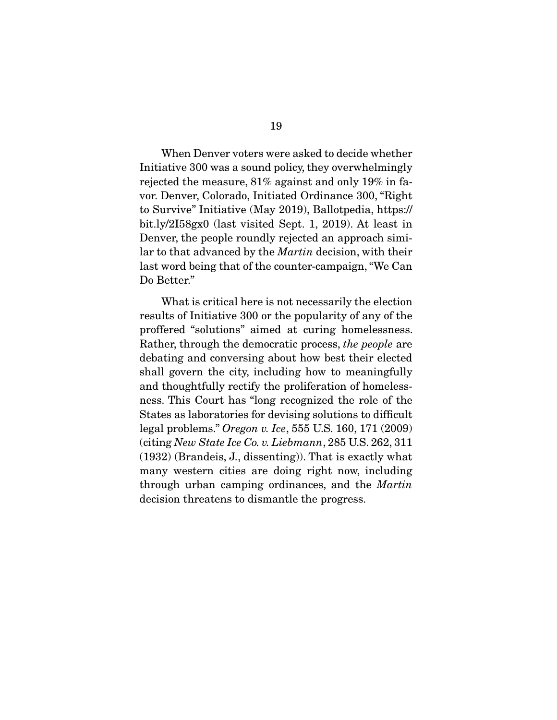When Denver voters were asked to decide whether Initiative 300 was a sound policy, they overwhelmingly rejected the measure, 81% against and only 19% in favor. Denver, Colorado, Initiated Ordinance 300, "Right to Survive" Initiative (May 2019), Ballotpedia, https:// bit.ly/2I58gx0 (last visited Sept. 1, 2019). At least in Denver, the people roundly rejected an approach similar to that advanced by the *Martin* decision, with their last word being that of the counter-campaign, "We Can Do Better."

 What is critical here is not necessarily the election results of Initiative 300 or the popularity of any of the proffered "solutions" aimed at curing homelessness. Rather, through the democratic process, *the people* are debating and conversing about how best their elected shall govern the city, including how to meaningfully and thoughtfully rectify the proliferation of homelessness. This Court has "long recognized the role of the States as laboratories for devising solutions to difficult legal problems." *Oregon v. Ice*, 555 U.S. 160, 171 (2009) (citing *New State Ice Co. v. Liebmann*, 285 U.S. 262, 311 (1932) (Brandeis, J., dissenting)). That is exactly what many western cities are doing right now, including through urban camping ordinances, and the *Martin* decision threatens to dismantle the progress.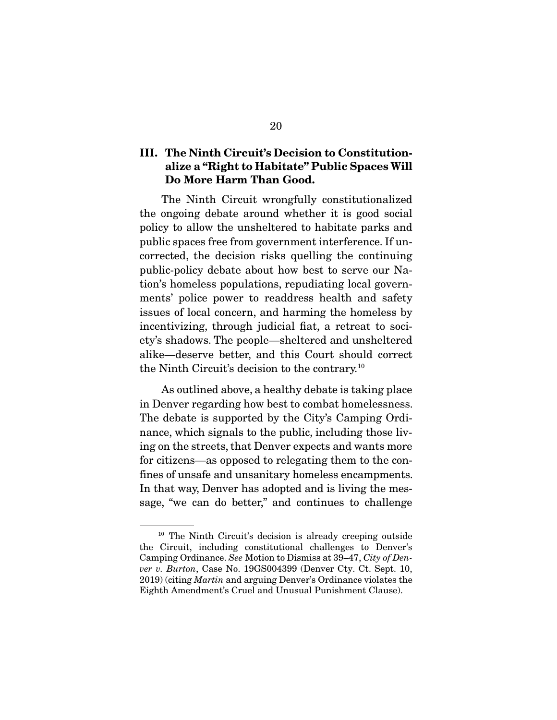### III. The Ninth Circuit's Decision to Constitutionalize a "Right to Habitate" Public Spaces Will Do More Harm Than Good.

 The Ninth Circuit wrongfully constitutionalized the ongoing debate around whether it is good social policy to allow the unsheltered to habitate parks and public spaces free from government interference. If uncorrected, the decision risks quelling the continuing public-policy debate about how best to serve our Nation's homeless populations, repudiating local governments' police power to readdress health and safety issues of local concern, and harming the homeless by incentivizing, through judicial fiat, a retreat to society's shadows. The people—sheltered and unsheltered alike—deserve better, and this Court should correct the Ninth Circuit's decision to the contrary.10

 As outlined above, a healthy debate is taking place in Denver regarding how best to combat homelessness. The debate is supported by the City's Camping Ordinance, which signals to the public, including those living on the streets, that Denver expects and wants more for citizens—as opposed to relegating them to the confines of unsafe and unsanitary homeless encampments. In that way, Denver has adopted and is living the message, "we can do better," and continues to challenge

<sup>&</sup>lt;sup>10</sup> The Ninth Circuit's decision is already creeping outside the Circuit, including constitutional challenges to Denver's Camping Ordinance. *See* Motion to Dismiss at 39–47, *City of Denver v. Burton*, Case No. 19GS004399 (Denver Cty. Ct. Sept. 10, 2019) (citing *Martin* and arguing Denver's Ordinance violates the Eighth Amendment's Cruel and Unusual Punishment Clause).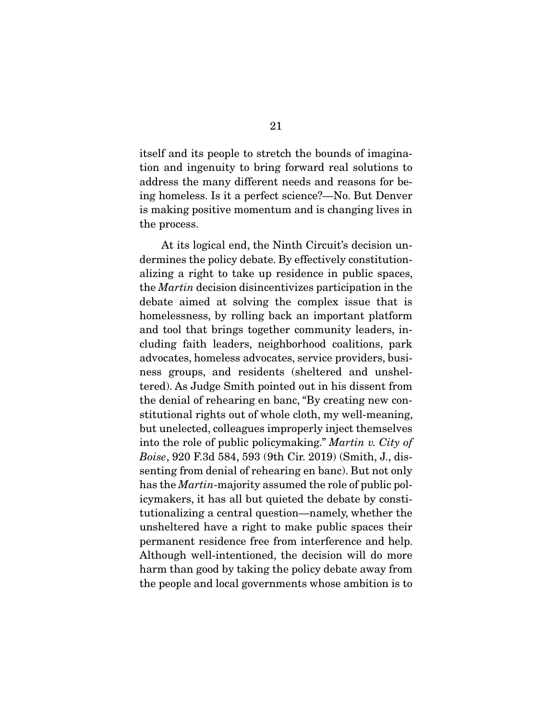itself and its people to stretch the bounds of imagination and ingenuity to bring forward real solutions to address the many different needs and reasons for being homeless. Is it a perfect science?—No. But Denver is making positive momentum and is changing lives in the process.

 At its logical end, the Ninth Circuit's decision undermines the policy debate. By effectively constitutionalizing a right to take up residence in public spaces, the *Martin* decision disincentivizes participation in the debate aimed at solving the complex issue that is homelessness, by rolling back an important platform and tool that brings together community leaders, including faith leaders, neighborhood coalitions, park advocates, homeless advocates, service providers, business groups, and residents (sheltered and unsheltered). As Judge Smith pointed out in his dissent from the denial of rehearing en banc, "By creating new constitutional rights out of whole cloth, my well-meaning, but unelected, colleagues improperly inject themselves into the role of public policymaking." *Martin v. City of Boise*, 920 F.3d 584, 593 (9th Cir. 2019) (Smith, J., dissenting from denial of rehearing en banc). But not only has the *Martin*-majority assumed the role of public policymakers, it has all but quieted the debate by constitutionalizing a central question—namely, whether the unsheltered have a right to make public spaces their permanent residence free from interference and help. Although well-intentioned, the decision will do more harm than good by taking the policy debate away from the people and local governments whose ambition is to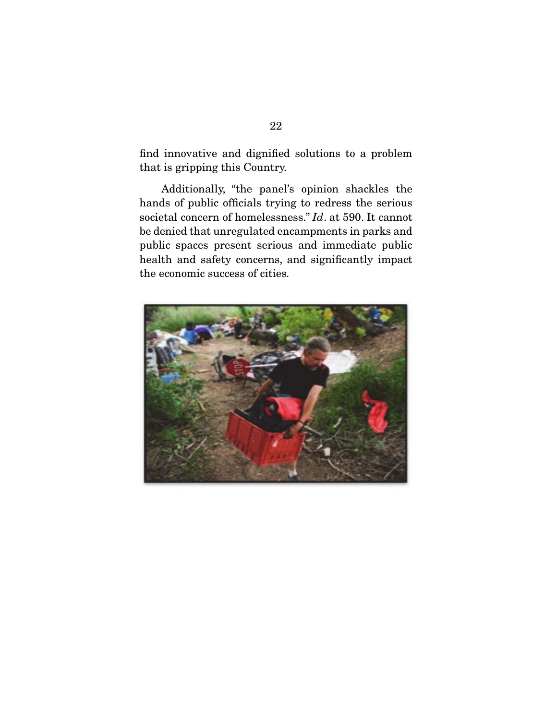find innovative and dignified solutions to a problem that is gripping this Country.

 Additionally, "the panel's opinion shackles the hands of public officials trying to redress the serious societal concern of homelessness." *Id*. at 590. It cannot be denied that unregulated encampments in parks and public spaces present serious and immediate public health and safety concerns, and significantly impact the economic success of cities.

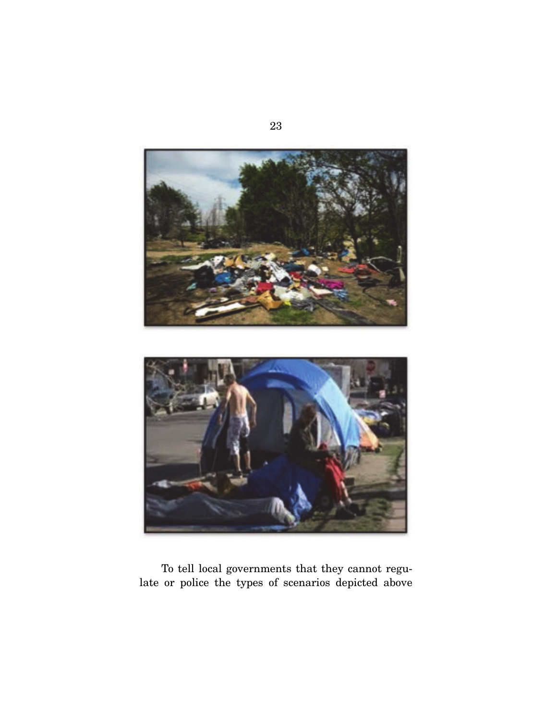

 To tell local governments that they cannot regulate or police the types of scenarios depicted above

23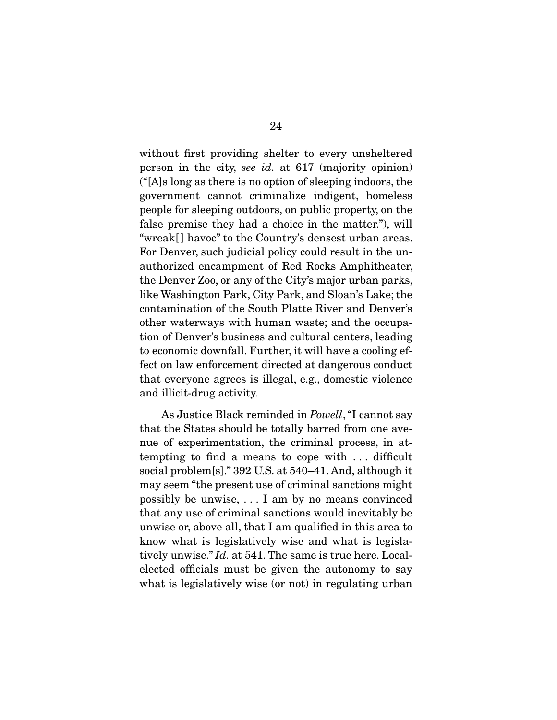without first providing shelter to every unsheltered person in the city, *see id.* at 617 (majority opinion) ("[A]s long as there is no option of sleeping indoors, the government cannot criminalize indigent, homeless people for sleeping outdoors, on public property, on the false premise they had a choice in the matter."), will "wreak[ ] havoc" to the Country's densest urban areas. For Denver, such judicial policy could result in the unauthorized encampment of Red Rocks Amphitheater, the Denver Zoo, or any of the City's major urban parks, like Washington Park, City Park, and Sloan's Lake; the contamination of the South Platte River and Denver's other waterways with human waste; and the occupation of Denver's business and cultural centers, leading to economic downfall. Further, it will have a cooling effect on law enforcement directed at dangerous conduct that everyone agrees is illegal, e.g., domestic violence and illicit-drug activity.

 As Justice Black reminded in *Powell*, "I cannot say that the States should be totally barred from one avenue of experimentation, the criminal process, in attempting to find a means to cope with . . . difficult social problem[s]." 392 U.S. at 540–41. And, although it may seem "the present use of criminal sanctions might possibly be unwise, . . . I am by no means convinced that any use of criminal sanctions would inevitably be unwise or, above all, that I am qualified in this area to know what is legislatively wise and what is legislatively unwise." *Id.* at 541. The same is true here. Localelected officials must be given the autonomy to say what is legislatively wise (or not) in regulating urban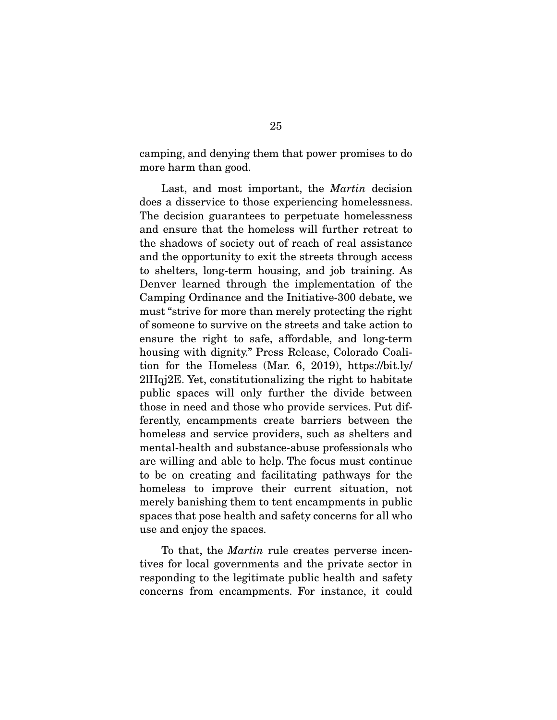camping, and denying them that power promises to do more harm than good.

 Last, and most important, the *Martin* decision does a disservice to those experiencing homelessness. The decision guarantees to perpetuate homelessness and ensure that the homeless will further retreat to the shadows of society out of reach of real assistance and the opportunity to exit the streets through access to shelters, long-term housing, and job training. As Denver learned through the implementation of the Camping Ordinance and the Initiative-300 debate, we must "strive for more than merely protecting the right of someone to survive on the streets and take action to ensure the right to safe, affordable, and long-term housing with dignity." Press Release, Colorado Coalition for the Homeless (Mar. 6, 2019), https://bit.ly/ 2lHqj2E. Yet, constitutionalizing the right to habitate public spaces will only further the divide between those in need and those who provide services. Put differently, encampments create barriers between the homeless and service providers, such as shelters and mental-health and substance-abuse professionals who are willing and able to help. The focus must continue to be on creating and facilitating pathways for the homeless to improve their current situation, not merely banishing them to tent encampments in public spaces that pose health and safety concerns for all who use and enjoy the spaces.

 To that, the *Martin* rule creates perverse incentives for local governments and the private sector in responding to the legitimate public health and safety concerns from encampments. For instance, it could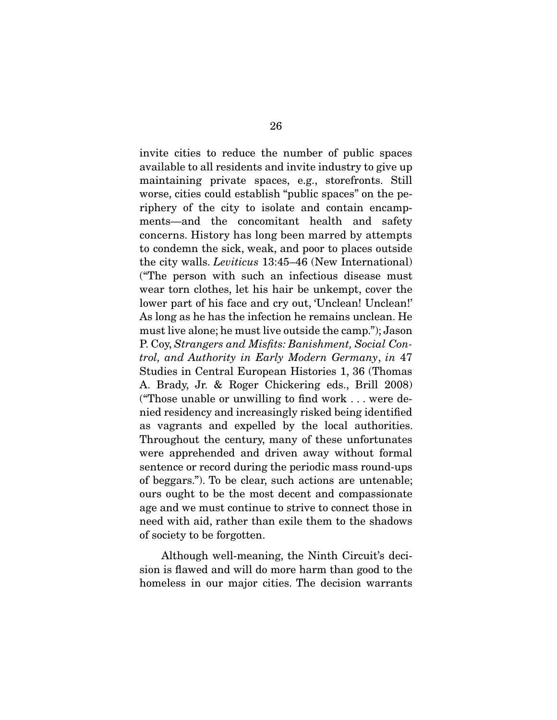invite cities to reduce the number of public spaces available to all residents and invite industry to give up maintaining private spaces, e.g., storefronts. Still worse, cities could establish "public spaces" on the periphery of the city to isolate and contain encampments—and the concomitant health and safety concerns. History has long been marred by attempts to condemn the sick, weak, and poor to places outside the city walls. *Leviticus* 13:45–46 (New International) ("The person with such an infectious disease must wear torn clothes, let his hair be unkempt, cover the lower part of his face and cry out, 'Unclean! Unclean!' As long as he has the infection he remains unclean. He must live alone; he must live outside the camp."); Jason P. Coy, *Strangers and Misfits: Banishment, Social Control, and Authority in Early Modern Germany*, *in* 47 Studies in Central European Histories 1, 36 (Thomas A. Brady, Jr. & Roger Chickering eds., Brill 2008) ("Those unable or unwilling to find work . . . were denied residency and increasingly risked being identified as vagrants and expelled by the local authorities. Throughout the century, many of these unfortunates were apprehended and driven away without formal sentence or record during the periodic mass round-ups of beggars."). To be clear, such actions are untenable; ours ought to be the most decent and compassionate age and we must continue to strive to connect those in need with aid, rather than exile them to the shadows of society to be forgotten.

 Although well-meaning, the Ninth Circuit's decision is flawed and will do more harm than good to the homeless in our major cities. The decision warrants